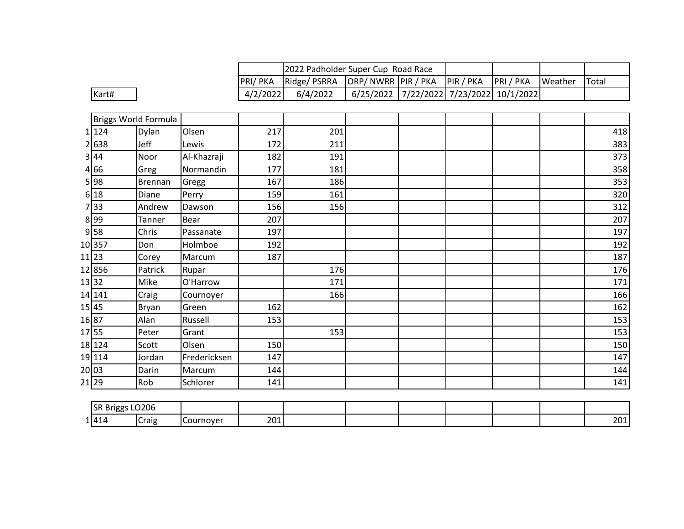|                                        |                      |              |          | 2022 Padholder Super Cup Road Race |                     |                                         |           |         |       |
|----------------------------------------|----------------------|--------------|----------|------------------------------------|---------------------|-----------------------------------------|-----------|---------|-------|
|                                        |                      |              | PRI/PKA  | Ridge/ PSRRA                       | ORP/ NWRR PIR / PKA | PIR / PKA                               | PRI / PKA | Weather | Total |
| Kart#                                  |                      |              | 4/2/2022 | 6/4/2022                           |                     | 6/25/2022 7/22/2022 7/23/2022 10/1/2022 |           |         |       |
|                                        |                      |              |          |                                    |                     |                                         |           |         |       |
|                                        | Briggs World Formula |              |          |                                    |                     |                                         |           |         |       |
| 1 124                                  | Dylan                | Olsen        | 217      | 201                                |                     |                                         |           |         | 418   |
| 2 638                                  | Jeff                 | Lewis        | 172      | 211                                |                     |                                         |           |         | 383   |
| 3 44                                   | Noor                 | Al-Khazraji  | 182      | 191                                |                     |                                         |           |         | 373   |
| $4\overline{66}$                       | Greg                 | Normandin    | 177      | 181                                |                     |                                         |           |         | 358   |
| $5\overline{)98}$                      | <b>Brennan</b>       | Gregg        | 167      | 186                                |                     |                                         |           |         | 353   |
| 6 18                                   | Diane                | Perry        | 159      | 161                                |                     |                                         |           |         | 320   |
| 7 33                                   | Andrew               | Dawson       | 156      | 156                                |                     |                                         |           |         | 312   |
| $8\overline{)99}$                      | Tanner               | Bear         | 207      |                                    |                     |                                         |           |         | 207   |
| $9\overline{58}$                       | Chris                | Passanate    | 197      |                                    |                     |                                         |           |         | 197   |
| 10357                                  | Don                  | Holmboe      | 192      |                                    |                     |                                         |           |         | 192   |
| 11 23                                  | Corey                | Marcum       | 187      |                                    |                     |                                         |           |         | 187   |
| 12856                                  | Patrick              | Rupar        |          | 176                                |                     |                                         |           |         | 176   |
| 1332                                   | Mike                 | O'Harrow     |          | 171                                |                     |                                         |           |         | 171   |
| 14 141                                 | Craig                | Cournoyer    |          | 166                                |                     |                                         |           |         | 166   |
| 1545                                   | <b>Bryan</b>         | Green        | 162      |                                    |                     |                                         |           |         | 162   |
| 16 87                                  | Alan                 | Russell      | 153      |                                    |                     |                                         |           |         | 153   |
| 1755                                   | Peter                | Grant        |          | 153                                |                     |                                         |           |         | 153   |
| 18 124                                 | Scott                | Olsen        | 150      |                                    |                     |                                         |           |         | 150   |
| 19114                                  | Jordan               | Fredericksen | 147      |                                    |                     |                                         |           |         | 147   |
| 2003                                   | Darin                | Marcum       | 144      |                                    |                     |                                         |           |         | 144   |
| 2129                                   | Rob                  | Schlorer     | 141      |                                    |                     |                                         |           |         | 141   |
|                                        |                      |              |          |                                    |                     |                                         |           |         |       |
| $\overline{CD}$ Priggs $\overline{LO}$ |                      |              |          |                                    |                     |                                         |           |         |       |

| <b>ISR</b><br>Brigg <sup>,</sup><br>.00 | 0206  |           |     |  |  |  |             |
|-----------------------------------------|-------|-----------|-----|--|--|--|-------------|
| 1414                                    | Craig | Lournover | 201 |  |  |  | 2011<br>ZUI |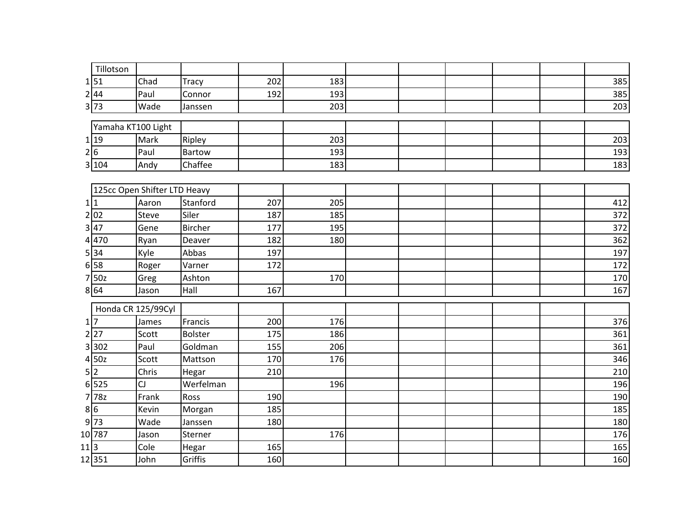|      | Tillotson          |                              |                           |            |            |  |  |            |
|------|--------------------|------------------------------|---------------------------|------------|------------|--|--|------------|
|      | 1 51               | Chad                         | Tracy                     | 202        | 183        |  |  | 385        |
|      | 2 44               | Paul                         | Connor                    | 192        | 193        |  |  | 385        |
|      | 3 73               | Wade                         | Janssen                   |            | 203        |  |  | 203        |
|      |                    |                              |                           |            |            |  |  |            |
|      | Yamaha KT100 Light |                              |                           |            |            |  |  |            |
|      | 1 19               | Mark                         | Ripley                    |            | 203        |  |  | 203        |
|      | 2 6                | Paul                         | Bartow<br>Chaffee         |            | 193<br>183 |  |  | 193<br>183 |
|      | 3 104              | Andy                         |                           |            |            |  |  |            |
|      |                    | 125cc Open Shifter LTD Heavy |                           |            |            |  |  |            |
|      | 1 1                | Aaron                        | Stanford                  | 207        | 205        |  |  | 412        |
|      | 2 02               | Steve                        | Siler                     | 187        | 185        |  |  | 372        |
|      | 3 47               | Gene                         | <b>Bircher</b>            | 177        | 195        |  |  | 372        |
|      | 4470               | Ryan                         | Deaver                    | 182        | 180        |  |  | 362        |
|      | 5 34               | Kyle                         | Abbas                     | 197        |            |  |  | 197        |
|      | $6$ 58             | Roger                        | Varner                    | 172        |            |  |  | 172        |
|      | 7 50z              | Greg                         | Ashton                    |            | 170        |  |  | 170        |
|      | 8 64               | Jason                        | Hall                      | 167        |            |  |  | 167        |
|      |                    |                              |                           |            |            |  |  |            |
|      | $1\overline{7}$    | Honda CR 125/99Cyl           |                           |            | 176        |  |  |            |
|      | 2 27               | James<br>Scott               | Francis<br><b>Bolster</b> | 200<br>175 | 186        |  |  | 376<br>361 |
| 3    | 302                | Paul                         | Goldman                   | 155        | 206        |  |  | 361        |
|      | 4 50z              | Scott                        | Mattson                   | 170        | 176        |  |  | 346        |
|      | 5 2                | Chris                        | Hegar                     | 210        |            |  |  | 210        |
| 6    | 525                | CJ                           | Werfelman                 |            | 196        |  |  | 196        |
|      | 778z               | Frank                        | Ross                      | 190        |            |  |  | 190        |
|      | 8 6                | Kevin                        | Morgan                    | 185        |            |  |  | 185        |
|      | 9 73               | Wade                         | Janssen                   | 180        |            |  |  | 180        |
|      | 10 787             | Jason                        | Sterner                   |            | 176        |  |  | 176        |
| 11 3 |                    | Cole                         | Hegar                     | 165        |            |  |  | 165        |
|      | 12351              | John                         | Griffis                   | 160        |            |  |  | 160        |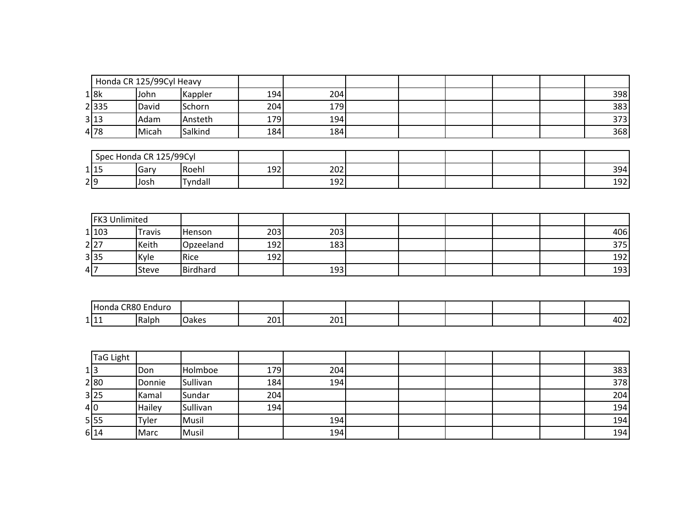|     |       | Honda CR 125/99Cyl Heavy |         |     |     |  |  |     |
|-----|-------|--------------------------|---------|-----|-----|--|--|-----|
|     | 1 8k  | John                     | Kappler | 194 | 204 |  |  | 398 |
|     | 2 335 | David                    | Schorn  | 204 | 179 |  |  | 383 |
|     | 3 13  | Adam                     | Ansteth | 179 | 194 |  |  | 373 |
|     | 4 78  | Micah                    | Salkind | 184 | 184 |  |  | 368 |
|     |       |                          |         |     |     |  |  |     |
|     |       | Spec Honda CR 125/99Cyl  |         |     |     |  |  |     |
|     | 1 15  | Gary                     | Roehl   | 192 | 202 |  |  | 394 |
| 2 9 |       | Josh                     | Tyndall |     | 192 |  |  | 192 |

|     | <b>FK3 Unlimited</b> |               |               |     |     |  |  |     |
|-----|----------------------|---------------|---------------|-----|-----|--|--|-----|
|     | 1 103                | <b>Travis</b> | <b>Henson</b> | 203 | 203 |  |  | 406 |
|     | 2 27                 | Keith         | Opzeeland     | 192 | 183 |  |  | 375 |
|     | 3 35                 | Kyle          | Rice          | 192 |     |  |  | 192 |
| 4 7 |                      | <b>Steve</b>  | Birdhard      |     | 193 |  |  | 193 |

| ⊶ ⊓ ∩           | .<br>Friuuru. |               |            |             |  |  |                    |
|-----------------|---------------|---------------|------------|-------------|--|--|--------------------|
| 1 I 1 1<br>ᆠᆘᆠᆠ | Ralph         | a ver<br>anc: | ົາດ<br>∠∪⊥ | 201<br>ZUIL |  |  | $\sim$<br>4<br>┭◡∠ |

| TaG Light |        |          |     |     |  |  |     |
|-----------|--------|----------|-----|-----|--|--|-----|
| 1 3       | Don    | Holmboe  | 179 | 204 |  |  | 383 |
| 2 80      | Donnie | Sullivan | 184 | 194 |  |  | 378 |
| 3 25      | Kamal  | Sundar   | 204 |     |  |  | 204 |
| 4 0       | Hailey | Sullivan | 194 |     |  |  | 194 |
| 5 55      | Tyler  | Musil    |     | 194 |  |  | 194 |
| 6 14      | Marc   | Musil    |     | 194 |  |  | 194 |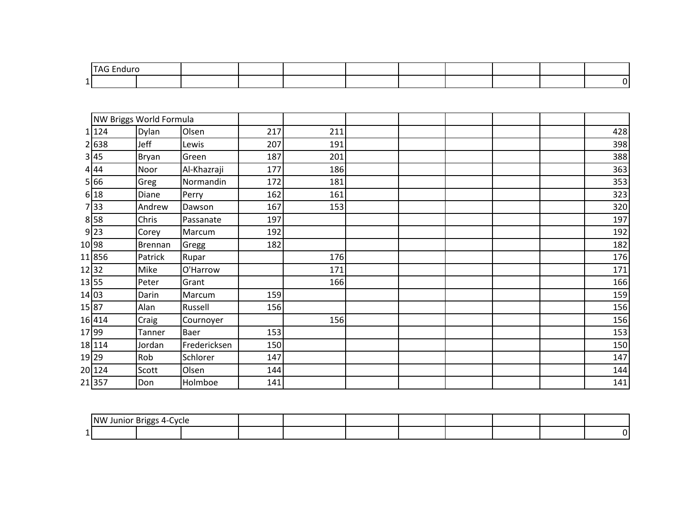|     | - Т∧∟<br>Enduro |  |  |  |  |  |
|-----|-----------------|--|--|--|--|--|
| . . |                 |  |  |  |  |  |

|         | NW Briggs World Formula |              |     |     |  |  |     |
|---------|-------------------------|--------------|-----|-----|--|--|-----|
| 1 124   | Dylan                   | Olsen        | 217 | 211 |  |  | 428 |
| 2638    | Jeff                    | Lewis        | 207 | 191 |  |  | 398 |
| 3 45    | Bryan                   | Green        | 187 | 201 |  |  | 388 |
| 4 44    | Noor                    | Al-Khazraji  | 177 | 186 |  |  | 363 |
| 5 66    | Greg                    | Normandin    | 172 | 181 |  |  | 353 |
| 6 18    | Diane                   | Perry        | 162 | 161 |  |  | 323 |
| 33<br>7 | Andrew                  | Dawson       | 167 | 153 |  |  | 320 |
| 8 58    | Chris                   | Passanate    | 197 |     |  |  | 197 |
| 9 23    | Corey                   | Marcum       | 192 |     |  |  | 192 |
| 10 98   | <b>Brennan</b>          | Gregg        | 182 |     |  |  | 182 |
| 11856   | Patrick                 | Rupar        |     | 176 |  |  | 176 |
| 12 32   | Mike                    | O'Harrow     |     | 171 |  |  | 171 |
| 13 55   | Peter                   | Grant        |     | 166 |  |  | 166 |
| 14 03   | Darin                   | Marcum       | 159 |     |  |  | 159 |
| 15 87   | Alan                    | Russell      | 156 |     |  |  | 156 |
| 16 414  | Craig                   | Cournoyer    |     | 156 |  |  | 156 |
| 17 99   | Tanner                  | Baer         | 153 |     |  |  | 153 |
| 18 114  | Jordan                  | Fredericksen | 150 |     |  |  | 150 |
| 19 29   | Rob                     | Schlorer     | 147 |     |  |  | 147 |
| 20 124  | Scott                   | Olsen        | 144 |     |  |  | 144 |
| 21357   | Don                     | Holmboe      | 141 |     |  |  | 141 |

|    | NW Junior Briggs | __<br>oc | vrie<br>◡ |  |  |  |  |
|----|------------------|----------|-----------|--|--|--|--|
| -- |                  |          |           |  |  |  |  |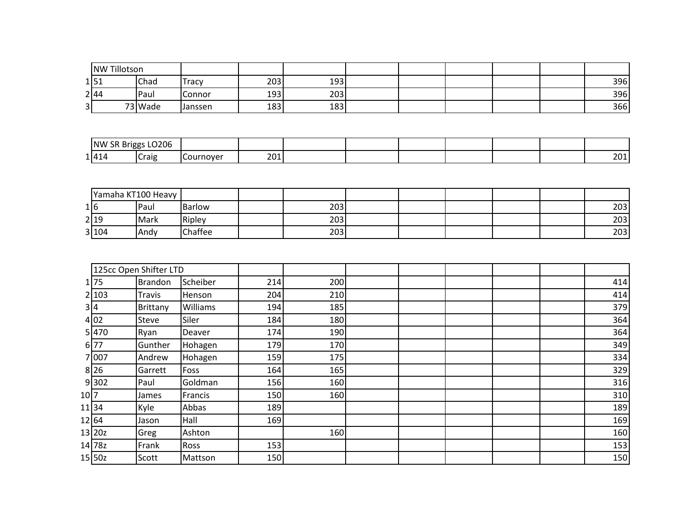|    | <b>NW Tillotson</b> |             |                |     |     |  |  |     |
|----|---------------------|-------------|----------------|-----|-----|--|--|-----|
|    | 1 51                | Chad        | Tracy          | 203 | 193 |  |  | 396 |
|    | 2 44                | <b>Paul</b> | Connor         | 193 | 203 |  |  | 396 |
| 31 |                     | 73 Wade     | <b>Janssen</b> | 183 | 183 |  |  | 366 |

| 'NW<br>- -<br>. Briggs<br>ΣК | LO206 |           |     |  |  |  |             |
|------------------------------|-------|-----------|-----|--|--|--|-------------|
| 1414                         | Craig | Cournover | 201 |  |  |  | 201<br>ZUI, |

|     |       | Yamaha KT100 Heavy |               |     |  |  |     |
|-----|-------|--------------------|---------------|-----|--|--|-----|
| 1 6 |       | Paul               | <b>Barlow</b> | 203 |  |  | 203 |
|     | 2 19  | Mark               | Ripley        | 203 |  |  | 203 |
|     | 3 104 | lAndv              | Chaffee       | 203 |  |  | 203 |

|       |                   | 125cc Open Shifter LTD |          |     |     |  |  |     |
|-------|-------------------|------------------------|----------|-----|-----|--|--|-----|
|       | 1 75              | <b>Brandon</b>         | Scheiber | 214 | 200 |  |  | 414 |
|       | 2 103             | Travis                 | Henson   | 204 | 210 |  |  | 414 |
| 3 4   |                   | Brittany               | Williams | 194 | 185 |  |  | 379 |
|       | 4 02              | Steve                  | Siler    | 184 | 180 |  |  | 364 |
|       | 5 470             | Ryan                   | Deaver   | 174 | 190 |  |  | 364 |
|       | 6 77              | Gunther                | Hohagen  | 179 | 170 |  |  | 349 |
|       | 7007              | Andrew                 | Hohagen  | 159 | 175 |  |  | 334 |
|       | $8$  26           | Garrett                | Foss     | 164 | 165 |  |  | 329 |
|       | 9 302             | Paul                   | Goldman  | 156 | 160 |  |  | 316 |
| 10 7  |                   | James                  | Francis  | 150 | 160 |  |  | 310 |
|       | 1134              | Kyle                   | Abbas    | 189 |     |  |  | 189 |
| 12 64 |                   | Jason                  | Hall     | 169 |     |  |  | 169 |
|       | 13 <sub>20z</sub> | Greg                   | Ashton   |     | 160 |  |  | 160 |
|       | 14 78z            | Frank                  | Ross     | 153 |     |  |  | 153 |
|       | 15 50z            | Scott                  | Mattson  | 150 |     |  |  | 150 |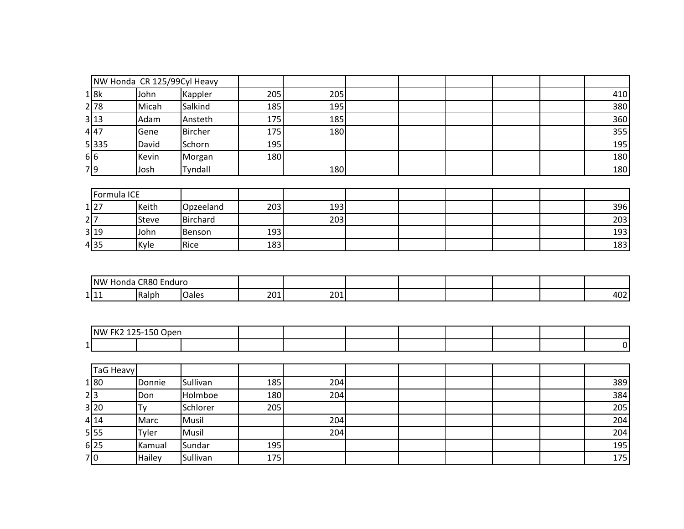|       | NW Honda CR 125/99Cyl Heavy |                |     |     |  |  |            |
|-------|-----------------------------|----------------|-----|-----|--|--|------------|
| 1 8k  | John                        | Kappler        | 205 | 205 |  |  | 410        |
| 2 78  | Micah                       | Salkind        | 185 | 195 |  |  | 380        |
| 3 13  | Adam                        | Ansteth        | 175 | 185 |  |  | 360        |
| 4 47  | Gene                        | <b>Bircher</b> | 175 | 180 |  |  | 355        |
| 5 335 | David                       | Schorn         | 195 |     |  |  | <b>195</b> |
| 6 6   | Kevin                       | Morgan         | 180 |     |  |  | 180        |
| 7 9   | Josh                        | Tyndall        |     | 180 |  |  | 180        |

|      | Formula ICE |              |               |     |     |  |  |     |
|------|-------------|--------------|---------------|-----|-----|--|--|-----|
| 1 27 |             | Keith        | Opzeeland     | 203 | 193 |  |  | 396 |
| 2 7  |             | <b>Steve</b> | Birchard      |     | 203 |  |  | 203 |
| 3 19 |             | John         | <b>Benson</b> | 193 |     |  |  | 193 |
| 4 35 |             | Kyle         | Rice          | 183 |     |  |  | 183 |

| <b>INW</b>      | :R8í<br>∵⊦ndur∟<br>Honda |  |           |            |  |  |             |
|-----------------|--------------------------|--|-----------|------------|--|--|-------------|
| 1 I 1 1<br>ᆂᆘᆂᆂ | Ralph<br>.               |  | 201<br>ື່ | 201<br>∠∪⊥ |  |  | $-$<br>TUZ. |

| $\sim$ $-$<br>INW | $\sim$ $\sim$ $\sim$<br>--<br>∙ JDer.<br>¬-<br>י י |  |  |  |  |  |
|-------------------|----------------------------------------------------|--|--|--|--|--|
| . .               |                                                    |  |  |  |  |  |

| TaG Heavy |        |          |     |     |  |  |     |
|-----------|--------|----------|-----|-----|--|--|-----|
| 1 80      | Donnie | Sullivan | 185 | 204 |  |  | 389 |
| 2 3       | Don    | Holmboe  | 180 | 204 |  |  | 384 |
| 3 20      |        | Schlorer | 205 |     |  |  | 205 |
| 4 14      | Marc   | Musil    |     | 204 |  |  | 204 |
| 5 55      | Tyler  | Musil    |     | 204 |  |  | 204 |
| 6 25      | Kamual | Sundar   | 195 |     |  |  | 195 |
| 7 0       | Hailey | Sullivan | 175 |     |  |  | 175 |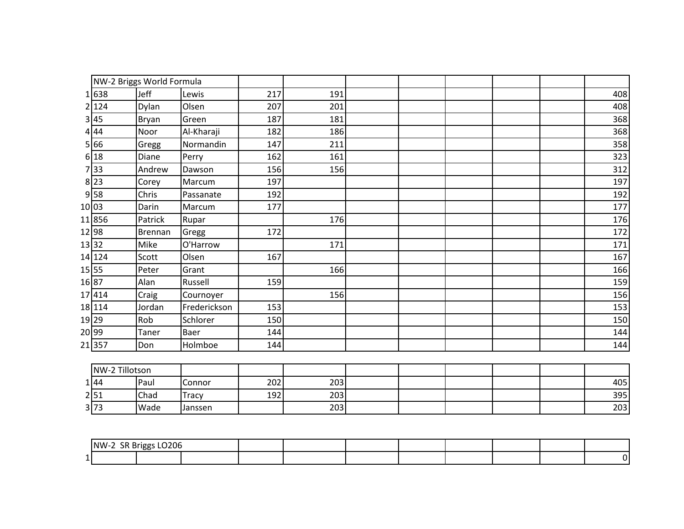|       |                | NW-2 Briggs World Formula |              |     |     |  |  |     |
|-------|----------------|---------------------------|--------------|-----|-----|--|--|-----|
|       | 1 638          | Jeff                      | Lewis        | 217 | 191 |  |  | 408 |
|       | 2 124          | Dylan                     | Olsen        | 207 | 201 |  |  | 408 |
|       | 3 45           | Bryan                     | Green        | 187 | 181 |  |  | 368 |
|       | 4 44           | Noor                      | Al-Kharaji   | 182 | 186 |  |  | 368 |
|       | 5 66           | Gregg                     | Normandin    | 147 | 211 |  |  | 358 |
|       | 6 18           | Diane                     | Perry        | 162 | 161 |  |  | 323 |
|       | 7 33           | Andrew                    | Dawson       | 156 | 156 |  |  | 312 |
|       | $8$  23        | Corey                     | Marcum       | 197 |     |  |  | 197 |
|       | $9$ 58         | Chris                     | Passanate    | 192 |     |  |  | 192 |
| 10 03 |                | Darin                     | Marcum       | 177 |     |  |  | 177 |
|       | 11856          | Patrick                   | Rupar        |     | 176 |  |  | 176 |
| 12 98 |                | Brennan                   | Gregg        | 172 |     |  |  | 172 |
| 13 32 |                | Mike                      | O'Harrow     |     | 171 |  |  | 171 |
|       | 14 124         | Scott                     | Olsen        | 167 |     |  |  | 167 |
| 15 55 |                | Peter                     | Grant        |     | 166 |  |  | 166 |
| 16 87 |                | Alan                      | Russell      | 159 |     |  |  | 159 |
|       | 17 414         | Craig                     | Cournoyer    |     | 156 |  |  | 156 |
|       | 18 114         | Jordan                    | Frederickson | 153 |     |  |  | 153 |
| 19 29 |                | Rob                       | Schlorer     | 150 |     |  |  | 150 |
| 20 99 |                | Taner                     | Baer         | 144 |     |  |  | 144 |
|       | 21357          | Don                       | Holmboe      | 144 |     |  |  | 144 |
|       |                |                           |              |     |     |  |  |     |
|       | NW-2 Tillotson |                           |              |     |     |  |  |     |
|       | 1 44           | Paul                      | Connor       | 202 | 203 |  |  | 405 |
|       | 2 51           | Chad                      | Tracy        | 192 | 203 |  |  | 395 |

| NW-2 SR Briggs LO206 |  |  |  |  |  |
|----------------------|--|--|--|--|--|
|                      |  |  |  |  |  |

3|73 |Wade |Janssen | | 203| | | | | | 203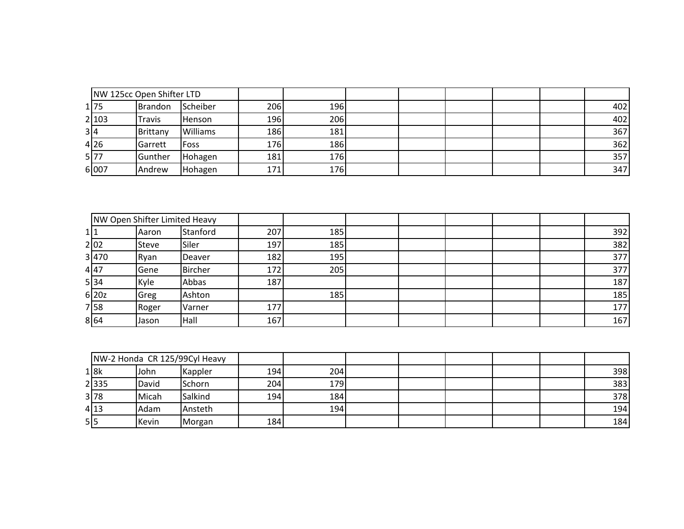|       | NW 125cc Open Shifter LTD |                 |            |     |  |  |     |
|-------|---------------------------|-----------------|------------|-----|--|--|-----|
| 1 75  | Brandon                   | Scheiber        | 206        | 196 |  |  | 402 |
| 2 103 | <b>Travis</b>             | Henson          | 196        | 206 |  |  | 402 |
| 314   | Brittany                  | <b>Williams</b> | <b>186</b> | 181 |  |  | 367 |
| 4 26  | Garrett                   | Foss            | 176        | 186 |  |  | 362 |
| 5 77  | Gunther                   | Hohagen         | 181        | 176 |  |  | 357 |
| 6007  | Andrew                    | Hohagen         | 171        | 176 |  |  | 347 |

|       | NW Open Shifter Limited Heavy |          |     |     |  |     |
|-------|-------------------------------|----------|-----|-----|--|-----|
|       | Aaron                         | Stanford | 207 | 185 |  | 392 |
| 2 02  | Steve                         | Siler    | 197 | 185 |  | 382 |
| 3 470 | Rvan                          | Deaver   | 182 | 195 |  | 377 |
| 447   | Gene                          | Bircher  | 172 | 205 |  | 377 |
| 534   | Kyle                          | Abbas    | 187 |     |  | 187 |
| 6 20z | Greg                          | Ashton   |     | 185 |  | 185 |
| 7 58  | Roger                         | Varner   | 177 |     |  | 177 |
| 864   | Jason                         | Hall     | 167 |     |  | 167 |

|      |       | NW-2 Honda CR 125/99Cyl Heavy |     |     |  |  |     |
|------|-------|-------------------------------|-----|-----|--|--|-----|
| 1 8k | John  | Kappler                       | 194 | 204 |  |  | 398 |
| 2335 | David | <b>Schorn</b>                 | 204 | 179 |  |  | 383 |
| 3 78 | Micah | Salkind                       | 194 | 184 |  |  | 378 |
| 4 13 | Adam  | Ansteth                       |     | 194 |  |  | 194 |
| 5 5  | Kevin | Morgan                        | 184 |     |  |  | 184 |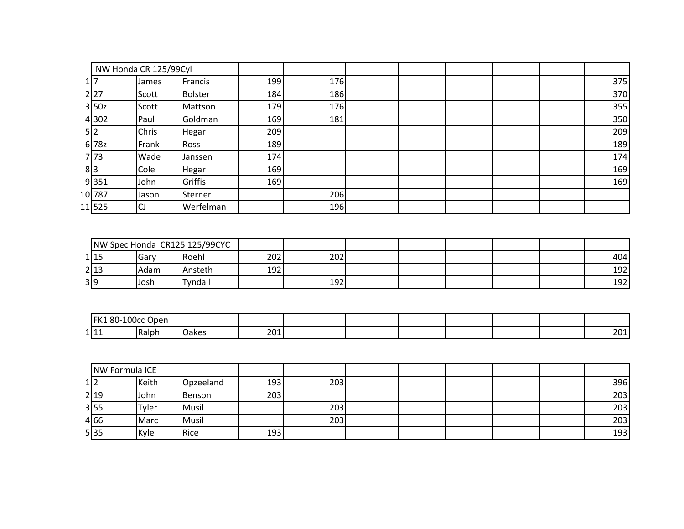|        | NW Honda CR 125/99Cyl |                |     |     |  |  |     |
|--------|-----------------------|----------------|-----|-----|--|--|-----|
|        | James                 | Francis        | 199 | 176 |  |  | 375 |
| 2 27   | Scott                 | <b>Bolster</b> | 184 | 186 |  |  | 370 |
| 3 50z  | Scott                 | Mattson        | 179 | 176 |  |  | 355 |
| 4 302  | Paul                  | Goldman        | 169 | 181 |  |  | 350 |
| 5 2    | Chris                 | Hegar          | 209 |     |  |  | 209 |
| 6 78z  | Frank                 | <b>Ross</b>    | 189 |     |  |  | 189 |
| 7 73   | Wade                  | Janssen        | 174 |     |  |  | 174 |
| 8 3    | Cole                  | Hegar          | 169 |     |  |  | 169 |
| 9 351  | John                  | Griffis        | 169 |     |  |  | 169 |
| 10 787 | Jason                 | Sterner        |     | 206 |  |  |     |
| 11525  | CJ                    | Werfelman      |     | 196 |  |  |     |

| NW Spec Honda CR125 125/99CYC |              |         |     |     |  |  |     |
|-------------------------------|--------------|---------|-----|-----|--|--|-----|
| 1 15                          | <b>IGarv</b> | Roehl   | 202 | 202 |  |  | 404 |
| 2 13                          | Adam         | Ansteth | 192 |     |  |  | 192 |
| 3 9                           | Josh         | Tyndall |     | 192 |  |  | 192 |

| LOOcc<br>$80-1$<br>IFK.<br>Oper |       |       |     |  |  |  |            |
|---------------------------------|-------|-------|-----|--|--|--|------------|
| 1 11                            | Ralph | лаке: | 201 |  |  |  | 201<br>ZUI |

| NW Formula ICE |       |           |     |     |  |  |     |
|----------------|-------|-----------|-----|-----|--|--|-----|
| 1 2            | Keith | Opzeeland | 193 | 203 |  |  | 396 |
| 2 19           | John  | Benson    | 203 |     |  |  | 203 |
| 3 55           | Tyler | Musil     |     | 203 |  |  | 203 |
| 4 66           | Marc  | Musil     |     | 203 |  |  | 203 |
| 5 35           | Kyle  | Rice      | 193 |     |  |  | 193 |